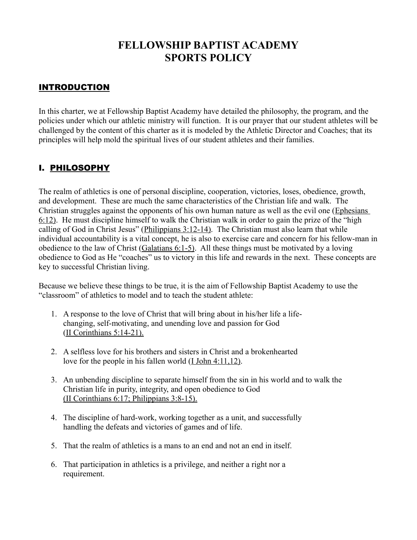# **FELLOWSHIP BAPTIST ACADEMY SPORTS POLICY**

# INTRODUCTION

In this charter, we at Fellowship Baptist Academy have detailed the philosophy, the program, and the policies under which our athletic ministry will function. It is our prayer that our student athletes will be challenged by the content of this charter as it is modeled by the Athletic Director and Coaches; that its principles will help mold the spiritual lives of our student athletes and their families.

# I. <u>PHILOSOPHY</u>

The realm of athletics is one of personal discipline, cooperation, victories, loses, obedience, growth, and development. These are much the same characteristics of the Christian life and walk. The Christian struggles against the opponents of his own human nature as well as the evil one (Ephesians 6:12). He must discipline himself to walk the Christian walk in order to gain the prize of the "high calling of God in Christ Jesus" (Philippians 3:12-14). The Christian must also learn that while individual accountability is a vital concept, he is also to exercise care and concern for his fellow-man in obedience to the law of Christ (Galatians 6:1-5). All these things must be motivated by a loving obedience to God as He "coaches" us to victory in this life and rewards in the next. These concepts are key to successful Christian living.

Because we believe these things to be true, it is the aim of Fellowship Baptist Academy to use the "classroom" of athletics to model and to teach the student athlete:

- 1. A response to the love of Christ that will bring about in his/her life a lifechanging, self-motivating, and unending love and passion for God (II Corinthians 5:14-21).
- 2. A selfless love for his brothers and sisters in Christ and a brokenhearted love for the people in his fallen world (I John 4:11,12).
- 3. An unbending discipline to separate himself from the sin in his world and to walk the Christian life in purity, integrity, and open obedience to God (II Corinthians 6:17; Philippians 3:8-15).
- 4. The discipline of hard-work, working together as a unit, and successfully handling the defeats and victories of games and of life.
- 5. That the realm of athletics is a mans to an end and not an end in itself.
- 6. That participation in athletics is a privilege, and neither a right nor a requirement.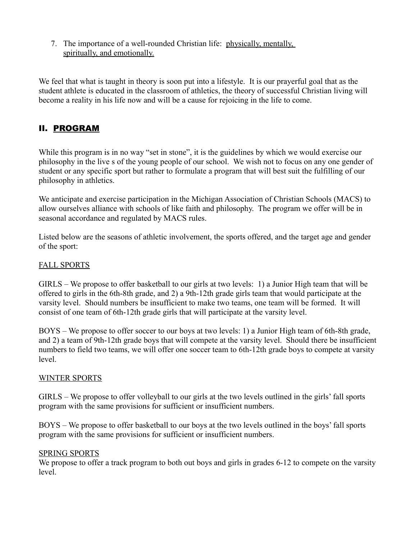7. The importance of a well-rounded Christian life: physically, mentally, spiritually, and emotionally.

We feel that what is taught in theory is soon put into a lifestyle. It is our prayerful goal that as the student athlete is educated in the classroom of athletics, the theory of successful Christian living will become a reality in his life now and will be a cause for rejoicing in the life to come.

# II. PROGRAM

While this program is in no way "set in stone", it is the guidelines by which we would exercise our philosophy in the live s of the young people of our school. We wish not to focus on any one gender of student or any specific sport but rather to formulate a program that will best suit the fulfilling of our philosophy in athletics.

We anticipate and exercise participation in the Michigan Association of Christian Schools (MACS) to allow ourselves alliance with schools of like faith and philosophy. The program we offer will be in seasonal accordance and regulated by MACS rules.

Listed below are the seasons of athletic involvement, the sports offered, and the target age and gender of the sport:

#### FALL SPORTS

GIRLS – We propose to offer basketball to our girls at two levels: 1) a Junior High team that will be offered to girls in the 6th-8th grade, and 2) a 9th-12th grade girls team that would participate at the varsity level. Should numbers be insufficient to make two teams, one team will be formed. It will consist of one team of 6th-12th grade girls that will participate at the varsity level.

BOYS – We propose to offer soccer to our boys at two levels: 1) a Junior High team of 6th-8th grade, and 2) a team of 9th-12th grade boys that will compete at the varsity level. Should there be insufficient numbers to field two teams, we will offer one soccer team to 6th-12th grade boys to compete at varsity level.

#### WINTER SPORTS

GIRLS – We propose to offer volleyball to our girls at the two levels outlined in the girls' fall sports program with the same provisions for sufficient or insufficient numbers.

BOYS – We propose to offer basketball to our boys at the two levels outlined in the boys' fall sports program with the same provisions for sufficient or insufficient numbers.

#### SPRING SPORTS

We propose to offer a track program to both out boys and girls in grades 6-12 to compete on the varsity level.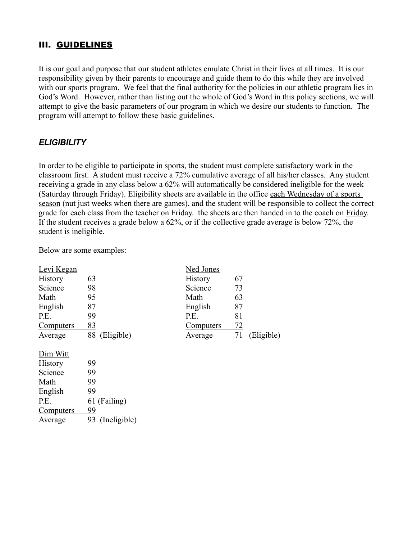### III. GUIDELINES

It is our goal and purpose that our student athletes emulate Christ in their lives at all times. It is our responsibility given by their parents to encourage and guide them to do this while they are involved with our sports program. We feel that the final authority for the policies in our athletic program lies in God's Word. However, rather than listing out the whole of God's Word in this policy sections, we will attempt to give the basic parameters of our program in which we desire our students to function. The program will attempt to follow these basic guidelines.

### *ELIGIBILITY*

In order to be eligible to participate in sports, the student must complete satisfactory work in the classroom first. A student must receive a 72% cumulative average of all his/her classes. Any student receiving a grade in any class below a 62% will automatically be considered ineligible for the week (Saturday through Friday). Eligibility sheets are available in the office each Wednesday of a sports season (nut just weeks when there are games), and the student will be responsible to collect the correct grade for each class from the teacher on Friday. the sheets are then handed in to the coach on Friday. If the student receives a grade below a 62%, or if the collective grade average is below 72%, the student is ineligible.

Below are some examples:

| Levi Kegan       |                    | <b>Ned Jones</b> |           |            |
|------------------|--------------------|------------------|-----------|------------|
| History          | 63                 | History          | 67        |            |
| Science          | 98                 | Science          | 73        |            |
| Math             | 95                 | Math             | 63        |            |
| English          | 87                 | English          | 87        |            |
| P.E.             | 99                 | P.E.             | 81        |            |
| <b>Computers</b> | 83                 | <b>Computers</b> | <u>72</u> |            |
| Average          | 88<br>(Eligible)   | Average          | 71        | (Eligible) |
| Dim Witt         |                    |                  |           |            |
| <b>History</b>   | 99                 |                  |           |            |
| Science          | 99                 |                  |           |            |
| Math             | 99                 |                  |           |            |
| English          | 99                 |                  |           |            |
| P.E.             | 61 (Failing)       |                  |           |            |
| <b>Computers</b> | 99                 |                  |           |            |
| Average          | 93<br>(Ineligible) |                  |           |            |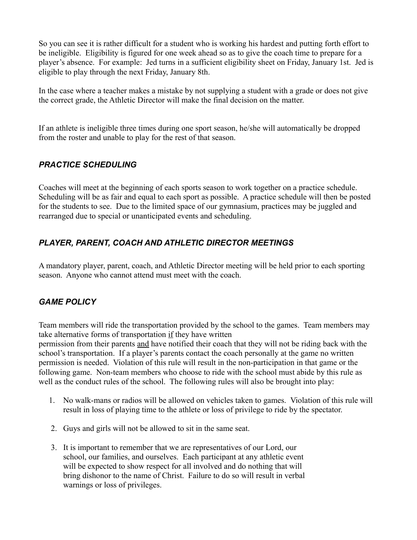So you can see it is rather difficult for a student who is working his hardest and putting forth effort to be ineligible. Eligibility is figured for one week ahead so as to give the coach time to prepare for a player's absence. For example: Jed turns in a sufficient eligibility sheet on Friday, January 1st. Jed is eligible to play through the next Friday, January 8th.

In the case where a teacher makes a mistake by not supplying a student with a grade or does not give the correct grade, the Athletic Director will make the final decision on the matter.

If an athlete is ineligible three times during one sport season, he/she will automatically be dropped from the roster and unable to play for the rest of that season.

### *PRACTICE SCHEDULING*

Coaches will meet at the beginning of each sports season to work together on a practice schedule. Scheduling will be as fair and equal to each sport as possible. A practice schedule will then be posted for the students to see. Due to the limited space of our gymnasium, practices may be juggled and rearranged due to special or unanticipated events and scheduling.

### *PLAYER, PARENT, COACH AND ATHLETIC DIRECTOR MEETINGS*

A mandatory player, parent, coach, and Athletic Director meeting will be held prior to each sporting season. Anyone who cannot attend must meet with the coach.

# *GAME POLICY*

Team members will ride the transportation provided by the school to the games. Team members may take alternative forms of transportation if they have written

permission from their parents and have notified their coach that they will not be riding back with the school's transportation. If a player's parents contact the coach personally at the game no written permission is needed. Violation of this rule will result in the non-participation in that game or the following game. Non-team members who choose to ride with the school must abide by this rule as well as the conduct rules of the school. The following rules will also be brought into play:

- 1. No walk-mans or radios will be allowed on vehicles taken to games. Violation of this rule will result in loss of playing time to the athlete or loss of privilege to ride by the spectator.
- 2. Guys and girls will not be allowed to sit in the same seat.
- 3. It is important to remember that we are representatives of our Lord, our school, our families, and ourselves. Each participant at any athletic event will be expected to show respect for all involved and do nothing that will bring dishonor to the name of Christ. Failure to do so will result in verbal warnings or loss of privileges.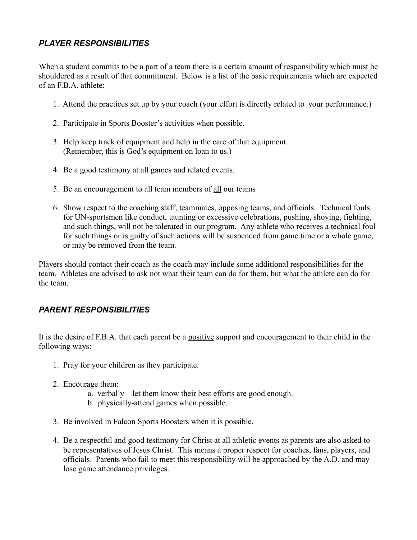### *PLAYER RESPONSIBILITIES*

When a student commits to be a part of a team there is a certain amount of responsibility which must be shouldered as a result of that commitment. Below is a list of the basic requirements which are expected of an F.B.A. athlete:

- 1. Attend the practices set up by your coach (your effort is directly related to your performance.)
- 2. Participate in Sports Booster's activities when possible.
- 3. Help keep track of equipment and help in the care of that equipment. (Remember, this is God's equipment on loan to us.)
- 4. Be a good testimony at all games and related events.
- 5. Be an encouragement to all team members of all our teams
- 6. Show respect to the coaching staff, teammates, opposing teams, and officials. Technical fouls for UN-sportsmen like conduct, taunting or excessive celebrations, pushing, shoving, fighting, and such things, will not be tolerated in our program. Any athlete who receives a technical foul for such things or is guilty of such actions will be suspended from game time or a whole game, or may be removed from the team.

Players should contact their coach as the coach may include some additional responsibilities for the team. Athletes are advised to ask not what their team can do for them, but what the athlete can do for the team.

#### *PARENT RESPONSIBILITIES*

It is the desire of F.B.A. that each parent be a positive support and encouragement to their child in the following ways:

- 1. Pray for your children as they participate.
- 2. Encourage them:
	- a. verbally let them know their best efforts are good enough.
	- b. physically-attend games when possible.
- 3. Be involved in Falcon Sports Boosters when it is possible.
- 4. Be a respectful and good testimony for Christ at all athletic events as parents are also asked to be representatives of Jesus Christ. This means a proper respect for coaches, fans, players, and officials. Parents who fail to meet this responsibility will be approached by the A.D. and may lose game attendance privileges.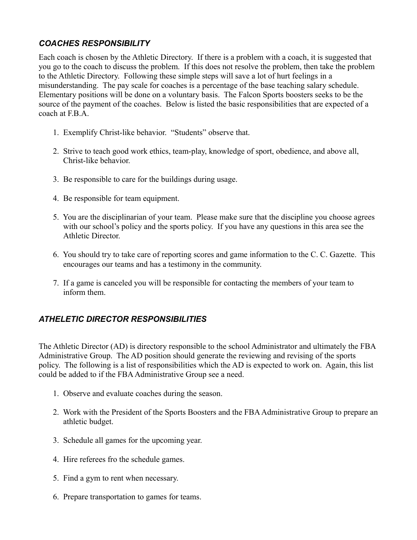### *COACHES RESPONSIBILITY*

Each coach is chosen by the Athletic Directory. If there is a problem with a coach, it is suggested that you go to the coach to discuss the problem. If this does not resolve the problem, then take the problem to the Athletic Directory. Following these simple steps will save a lot of hurt feelings in a misunderstanding. The pay scale for coaches is a percentage of the base teaching salary schedule. Elementary positions will be done on a voluntary basis. The Falcon Sports boosters seeks to be the source of the payment of the coaches. Below is listed the basic responsibilities that are expected of a coach at F.B.A.

- 1. Exemplify Christ-like behavior. "Students" observe that.
- 2. Strive to teach good work ethics, team-play, knowledge of sport, obedience, and above all, Christ-like behavior.
- 3. Be responsible to care for the buildings during usage.
- 4. Be responsible for team equipment.
- 5. You are the disciplinarian of your team. Please make sure that the discipline you choose agrees with our school's policy and the sports policy. If you have any questions in this area see the Athletic Director.
- 6. You should try to take care of reporting scores and game information to the C. C. Gazette. This encourages our teams and has a testimony in the community.
- 7. If a game is canceled you will be responsible for contacting the members of your team to inform them.

# *ATHELETIC DIRECTOR RESPONSIBILITIES*

The Athletic Director (AD) is directory responsible to the school Administrator and ultimately the FBA Administrative Group. The AD position should generate the reviewing and revising of the sports policy. The following is a list of responsibilities which the AD is expected to work on. Again, this list could be added to if the FBA Administrative Group see a need.

- 1. Observe and evaluate coaches during the season.
- 2. Work with the President of the Sports Boosters and the FBA Administrative Group to prepare an athletic budget.
- 3. Schedule all games for the upcoming year.
- 4. Hire referees fro the schedule games.
- 5. Find a gym to rent when necessary.
- 6. Prepare transportation to games for teams.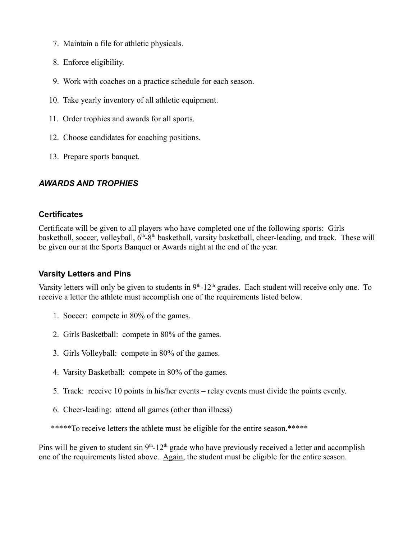- 7. Maintain a file for athletic physicals.
- 8. Enforce eligibility.
- 9. Work with coaches on a practice schedule for each season.
- 10. Take yearly inventory of all athletic equipment.
- 11. Order trophies and awards for all sports.
- 12. Choose candidates for coaching positions.
- 13. Prepare sports banquet.

### *AWARDS AND TROPHIES*

#### **Certificates**

Certificate will be given to all players who have completed one of the following sports: Girls basketball, soccer, volleyball,  $6<sup>th</sup>$ -8<sup>th</sup> basketball, varsity basketball, cheer-leading, and track. These will be given our at the Sports Banquet or Awards night at the end of the year.

#### **Varsity Letters and Pins**

Varsity letters will only be given to students in  $9<sup>th</sup>$ -12<sup>th</sup> grades. Each student will receive only one. To receive a letter the athlete must accomplish one of the requirements listed below.

- 1. Soccer: compete in 80% of the games.
- 2. Girls Basketball: compete in 80% of the games.
- 3. Girls Volleyball: compete in 80% of the games.
- 4. Varsity Basketball: compete in 80% of the games.
- 5. Track: receive 10 points in his/her events relay events must divide the points evenly.
- 6. Cheer-leading: attend all games (other than illness)

\*\*\*\*\*To receive letters the athlete must be eligible for the entire season.\*\*\*\*\*

Pins will be given to student sin  $9<sup>th</sup>$ -12<sup>th</sup> grade who have previously received a letter and accomplish one of the requirements listed above. Again, the student must be eligible for the entire season.